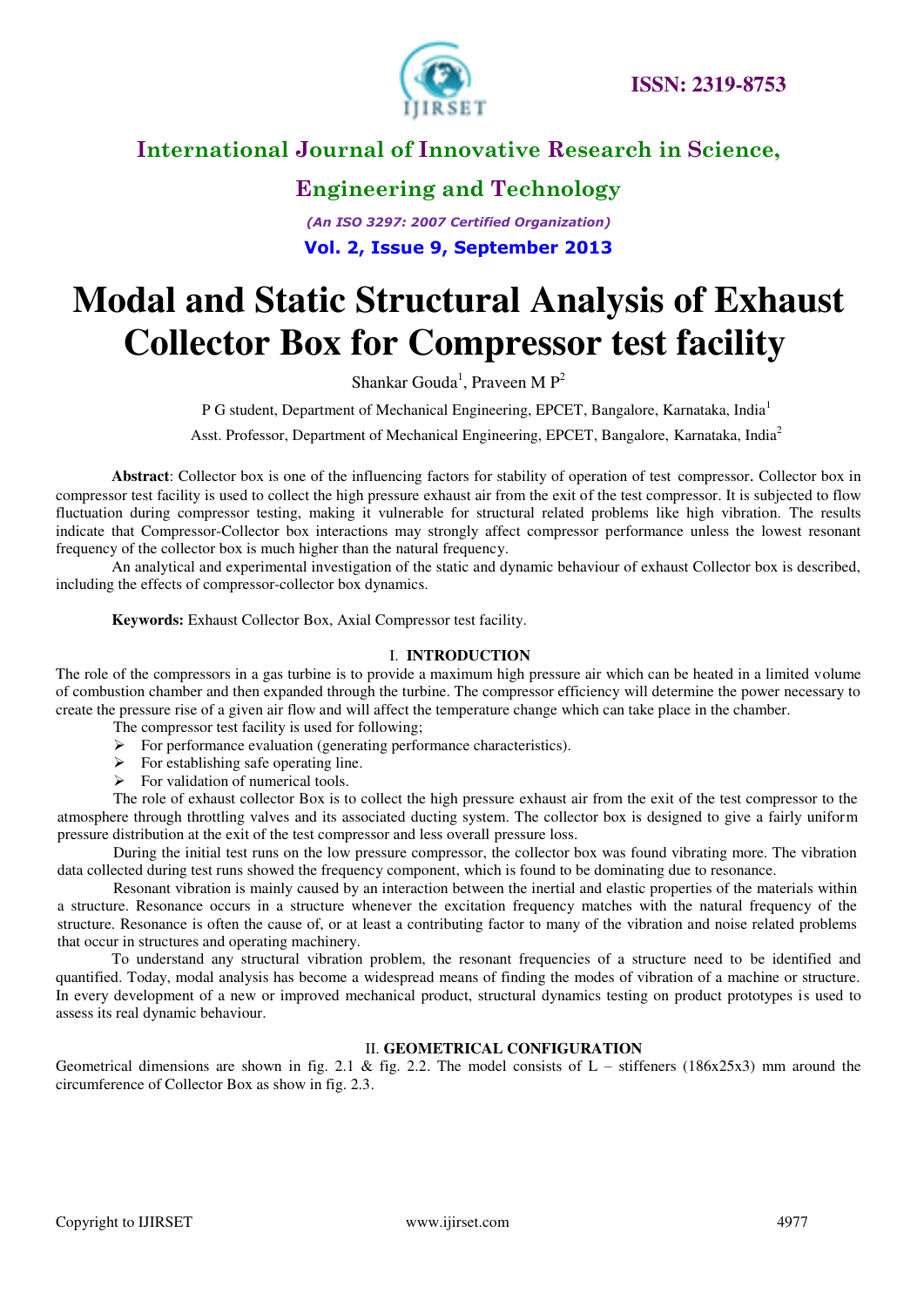

## **Engineering and Technology**

*(An ISO 3297: 2007 Certified Organization)*  **Vol. 2, Issue 9, September 2013**

# **Modal and Static Structural Analysis of Exhaust Collector Box for Compressor test facility**

Shankar Gouda<sup>1</sup>, Praveen M  $P^2$ 

P G student, Department of Mechanical Engineering, EPCET, Bangalore, Karnataka, India<sup>1</sup>

Asst. Professor, Department of Mechanical Engineering, EPCET, Bangalore, Karnataka, India<sup>2</sup>

**Abstract**: Collector box is one of the influencing factors for stability of operation of test compressor. Collector box in compressor test facility is used to collect the high pressure exhaust air from the exit of the test compressor. It is subjected to flow fluctuation during compressor testing, making it vulnerable for structural related problems like high vibration. The results indicate that Compressor-Collector box interactions may strongly affect compressor performance unless the lowest resonant frequency of the collector box is much higher than the natural frequency.

An analytical and experimental investigation of the static and dynamic behaviour of exhaust Collector box is described, including the effects of compressor-collector box dynamics.

**Keywords:** Exhaust Collector Box, Axial Compressor test facility.

#### I. **INTRODUCTION**

The role of the compressors in a gas turbine is to provide a maximum high pressure air which can be heated in a limited volume of combustion chamber and then expanded through the turbine. The compressor efficiency will determine the power necessary to create the pressure rise of a given air flow and will affect the temperature change which can take place in the chamber.

- The compressor test facility is used for following;
- $\triangleright$  For performance evaluation (generating performance characteristics).
- $\triangleright$  For establishing safe operating line.
- $\triangleright$  For validation of numerical tools.

The role of exhaust collector Box is to collect the high pressure exhaust air from the exit of the test compressor to the atmosphere through throttling valves and its associated ducting system. The collector box is designed to give a fairly uniform pressure distribution at the exit of the test compressor and less overall pressure loss.

During the initial test runs on the low pressure compressor, the collector box was found vibrating more. The vibration data collected during test runs showed the frequency component, which is found to be dominating due to resonance.

Resonant vibration is mainly caused by an interaction between the inertial and elastic properties of the materials within a structure. Resonance occurs in a structure whenever the excitation frequency matches with the natural frequency of the structure. Resonance is often the cause of, or at least a contributing factor to many of the vibration and noise related problems that occur in structures and operating machinery.

To understand any structural vibration problem, the resonant frequencies of a structure need to be identified and quantified. Today, modal analysis has become a widespread means of finding the modes of vibration of a machine or structure. In every development of a new or improved mechanical product, structural dynamics testing on product prototypes is used to assess its real dynamic behaviour.

#### II. **GEOMETRICAL CONFIGURATION**

Geometrical dimensions are shown in fig. 2.1 & fig. 2.2. The model consists of  $L -$  stiffeners (186x25x3) mm around the circumference of Collector Box as show in fig. 2.3.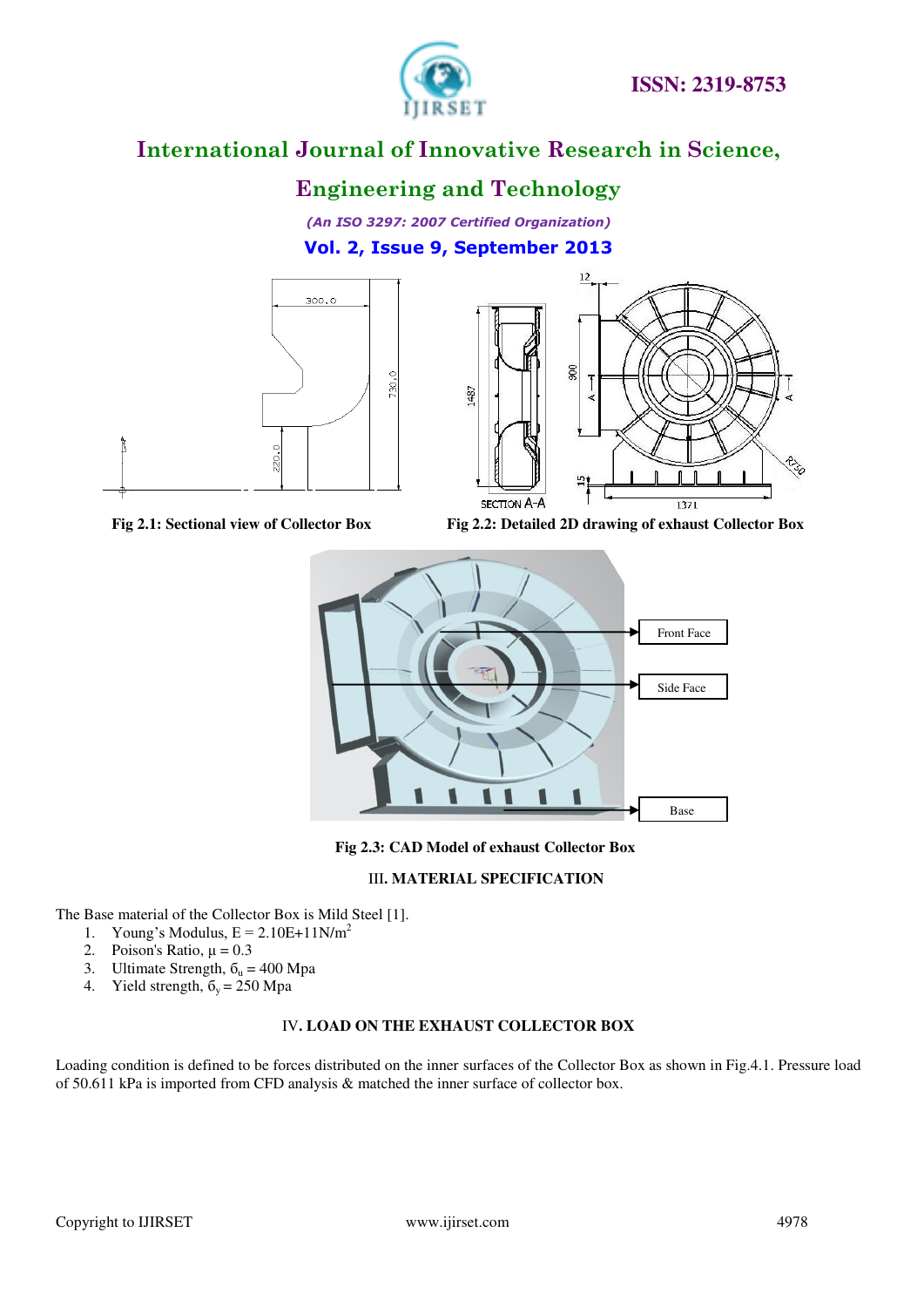

## **Engineering and Technology**

*(An ISO 3297: 2007 Certified Organization)*  **Vol. 2, Issue 9, September 2013**





Fig 2.1: Sectional view of Collector Box Fig 2.2: Detailed 2D drawing of exhaust Collector Box



**Fig 2.3: CAD Model of exhaust Collector Box** 

#### III**. MATERIAL SPECIFICATION**

The Base material of the Collector Box is Mild Steel [1].

- 1. Young's Modulus,  $E = 2.10E+11N/m^2$
- 2. Poison's Ratio,  $\mu = 0.3$
- 3. Ultimate Strength,  $\delta_u = 400 \text{ Mpa}$
- 4. Yield strength,  $\delta_y = 250$  Mpa

#### IV**. LOAD ON THE EXHAUST COLLECTOR BOX**

Loading condition is defined to be forces distributed on the inner surfaces of the Collector Box as shown in Fig.4.1. Pressure load of 50.611 kPa is imported from CFD analysis & matched the inner surface of collector box.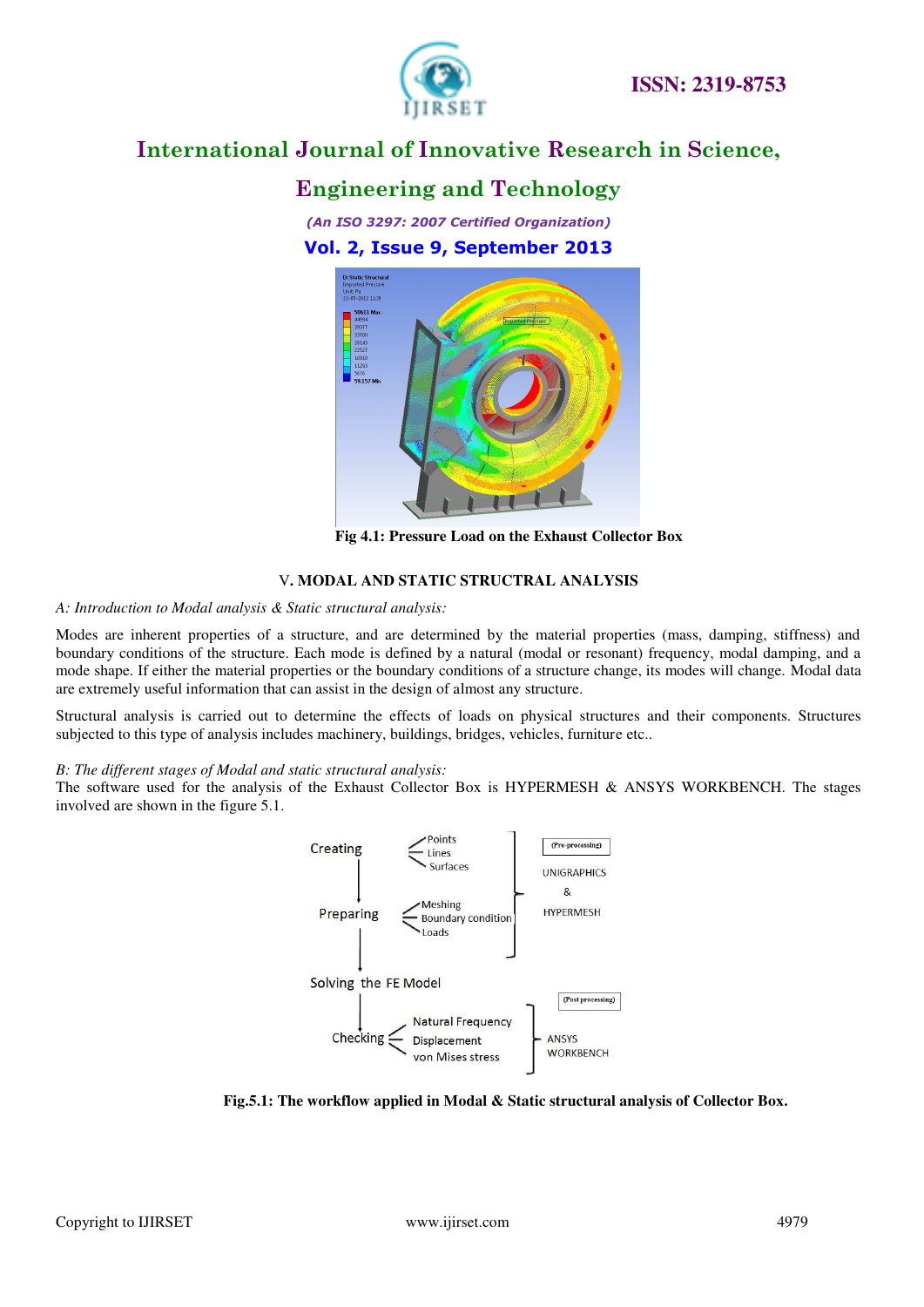

## **Engineering and Technology**

*(An ISO 3297: 2007 Certified Organization)*  **Vol. 2, Issue 9, September 2013**



**Fig 4.1: Pressure Load on the Exhaust Collector Box** 

#### V**. MODAL AND STATIC STRUCTRAL ANALYSIS**

*A: Introduction to Modal analysis & Static structural analysis:* 

Modes are inherent properties of a structure, and are determined by the material properties (mass, damping, stiffness) and boundary conditions of the structure. Each mode is defined by a natural (modal or resonant) frequency, modal damping, and a mode shape. If either the material properties or the boundary conditions of a structure change, its modes will change. Modal data are extremely useful information that can assist in the design of almost any structure.

Structural analysis is carried out to determine the effects of [loads](http://en.wikipedia.org/wiki/Structural_load) on physical [structures](http://en.wikipedia.org/wiki/Structure) and their [components.](http://en.wikipedia.org/wiki/Structural_engineering#Structural_elements) Structures subjected to this type of analysis includes machinery, buildings, bridges, vehicles, furniture etc..

#### *B: The different stages of Modal and static structural analysis:*

The software used for the analysis of the Exhaust Collector Box is HYPERMESH & ANSYS WORKBENCH. The stages involved are shown in the figure 5.1.



**Fig.5.1: The workflow applied in Modal & Static structural analysis of Collector Box.**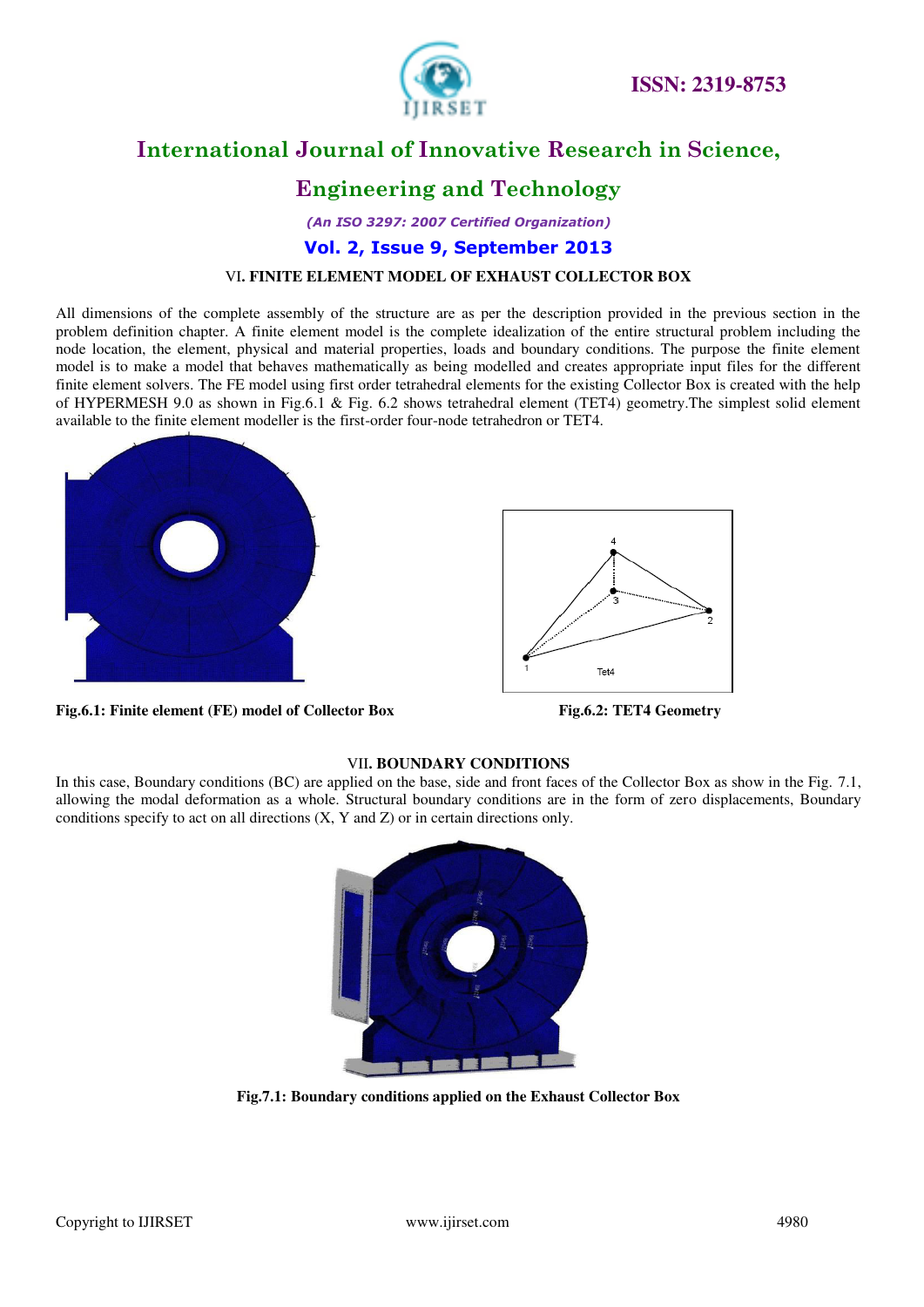

## **Engineering and Technology**

*(An ISO 3297: 2007 Certified Organization)*  **Vol. 2, Issue 9, September 2013**

#### VI**. FINITE ELEMENT MODEL OF EXHAUST COLLECTOR BOX**

All dimensions of the complete assembly of the structure are as per the description provided in the previous section in the problem definition chapter. A finite element model is the complete idealization of the entire structural problem including the node location, the element, physical and material properties, loads and boundary conditions. The purpose the finite element model is to make a model that behaves mathematically as being modelled and creates appropriate input files for the different finite element solvers. The FE model using first order tetrahedral elements for the existing Collector Box is created with the help of HYPERMESH 9.0 as shown in Fig.6.1 & Fig. 6.2 shows tetrahedral element (TET4) geometry.The simplest solid element available to the finite element modeller is the first-order four-node tetrahedron or TET4.





**Fig.6.1: Finite element (FE) model of Collector Box Fig.6.2: TET4 Geometry**

#### VII**. BOUNDARY CONDITIONS**

In this case, Boundary conditions (BC) are applied on the base, side and front faces of the Collector Box as show in the Fig. 7.1, allowing the modal deformation as a whole. Structural boundary conditions are in the form of zero displacements, Boundary conditions specify to act on all directions (X, Y and Z) or in certain directions only.



**Fig.7.1: Boundary conditions applied on the Exhaust Collector Box**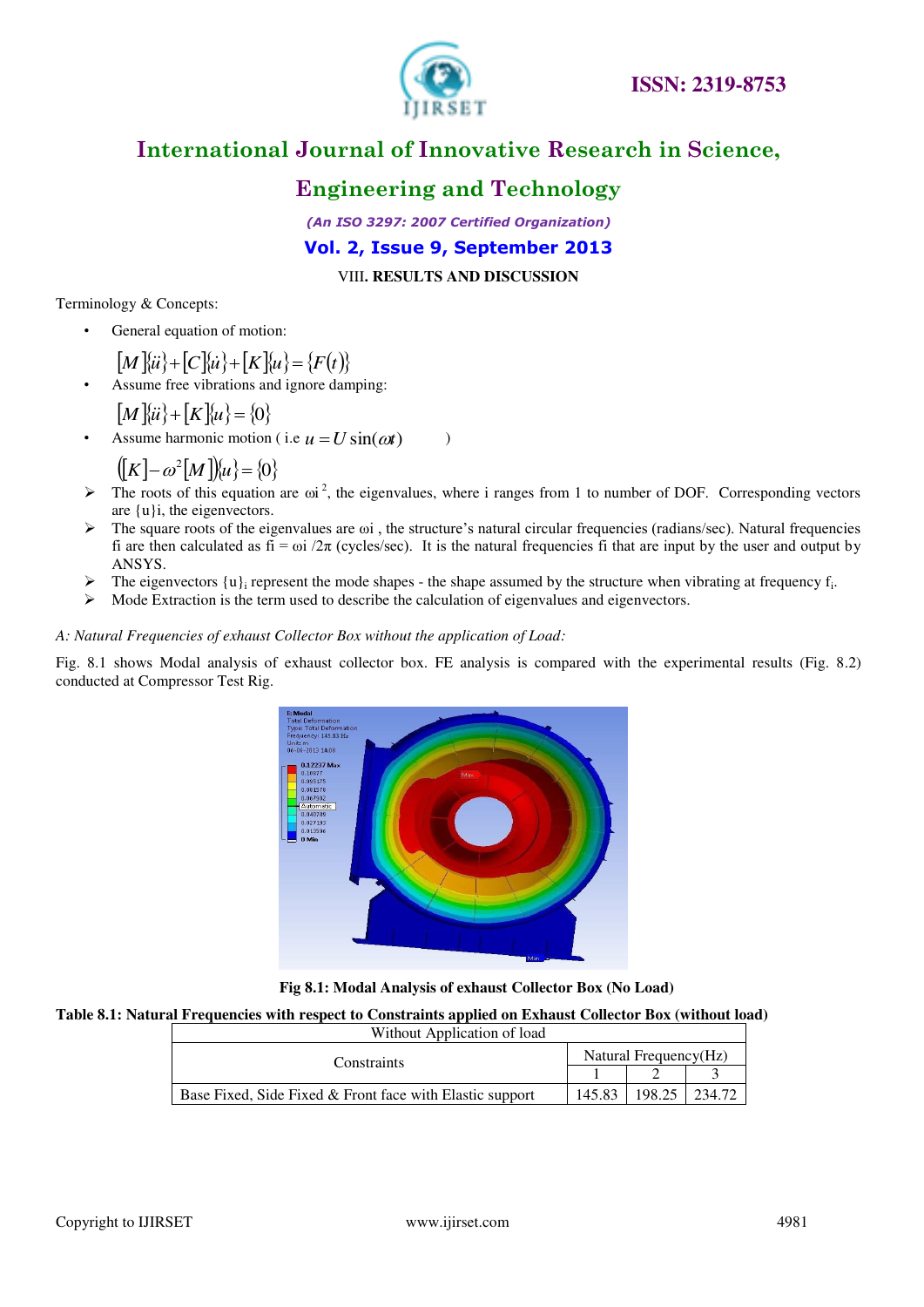

## **Engineering and Technology**

*(An ISO 3297: 2007 Certified Organization)*  **Vol. 2, Issue 9, September 2013**

VIII**. RESULTS AND DISCUSSION** 

Terminology & Concepts:

General equation of motion:

 $\{M\}\{ii\} + \{C\}\{ii\} + \{K\}\{u\} = \{F(t)\}$ 

Assume free vibrations and ignore damping:

$$
[M]\{ii\} + [K]\{u\} = \{0\}
$$

• Assume harmonic motion (i.e  $u = U \sin(\omega t)$ )

$$
([K] - \omega^2 [M])\hat{u} = \{0\}
$$

- $\triangleright$  The roots of this equation are  $\omega^2$ , the eigenvalues, where i ranges from 1 to number of DOF. Corresponding vectors are {u}i, the eigenvectors.
- The square roots of the eigenvalues are ωi , the structure's natural circular frequencies (radians/sec). Natural frequencies fi are then calculated as fi =  $\omega i / 2\pi$  (cycles/sec). It is the natural frequencies fi that are input by the user and output by ANSYS.
- $\triangleright$  The eigenvectors  $\{u\}$ <sub>i</sub> represent the mode shapes the shape assumed by the structure when vibrating at frequency f<sub>i</sub>.
- $\triangleright$  Mode Extraction is the term used to describe the calculation of eigenvalues and eigenvectors.

#### *A: Natural Frequencies of exhaust Collector Box without the application of Load:*

Fig. 8.1 shows Modal analysis of exhaust collector box. FE analysis is compared with the experimental results (Fig. 8.2) conducted at Compressor Test Rig.



**Fig 8.1: Modal Analysis of exhaust Collector Box (No Load)** 

#### **Table 8.1: Natural Frequencies with respect to Constraints applied on Exhaust Collector Box (without load)**

| Without Application of load                                |                       |  |        |  |
|------------------------------------------------------------|-----------------------|--|--------|--|
| Constraints                                                | Natural Frequency(Hz) |  |        |  |
|                                                            |                       |  |        |  |
| Base Fixed, Side Fixed $&$ Front face with Elastic support | 145.83                |  | 234.72 |  |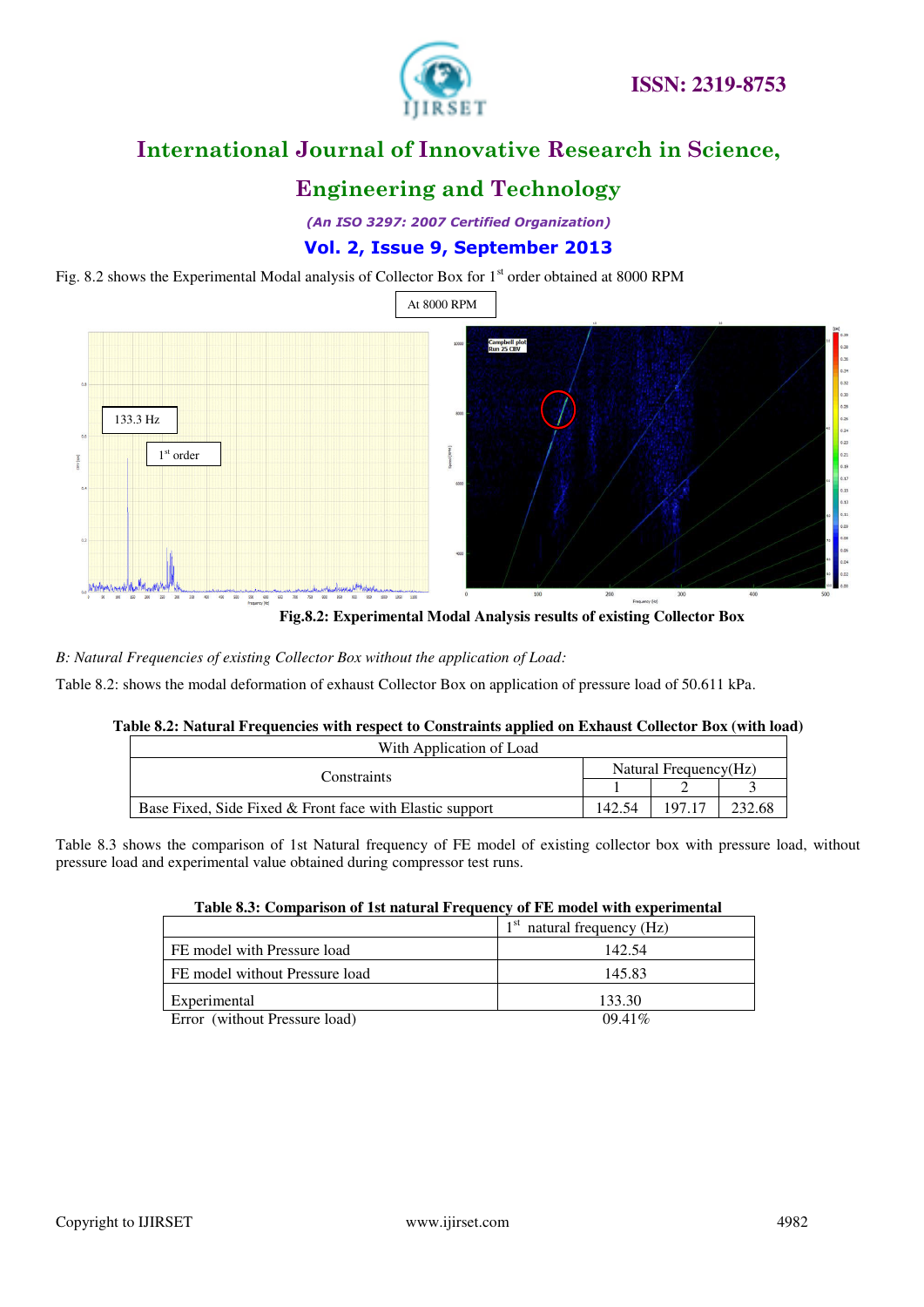

## **Engineering and Technology**

*(An ISO 3297: 2007 Certified Organization)*  **Vol. 2, Issue 9, September 2013**

Fig. 8.2 shows the Experimental Modal analysis of Collector Box for 1<sup>st</sup> order obtained at 8000 RPM



**Fig.8.2: Experimental Modal Analysis results of existing Collector Box** 

*B: Natural Frequencies of existing Collector Box without the application of Load:* 

Table 8.2: shows the modal deformation of exhaust Collector Box on application of pressure load of 50.611 kPa.

| Table 8.2: Natural Frequencies with respect to Constraints applied on Exhaust Collector Box (with load) |        |                       |        |  |
|---------------------------------------------------------------------------------------------------------|--------|-----------------------|--------|--|
| With Application of Load                                                                                |        |                       |        |  |
| Constraints                                                                                             |        | Natural Frequency(Hz) |        |  |
|                                                                                                         |        |                       |        |  |
| Base Fixed, Side Fixed & Front face with Elastic support                                                | 142.54 | 197 17                | 232.68 |  |

Table 8.3 shows the comparison of 1st Natural frequency of FE model of existing collector box with pressure load, without pressure load and experimental value obtained during compressor test runs.

|                                | natural frequency (Hz) |
|--------------------------------|------------------------|
| FE model with Pressure load    | 142.54                 |
| FE model without Pressure load | 145.83                 |
| Experimental                   | 133.30                 |
| Error (without Pressure load)  | 0941%                  |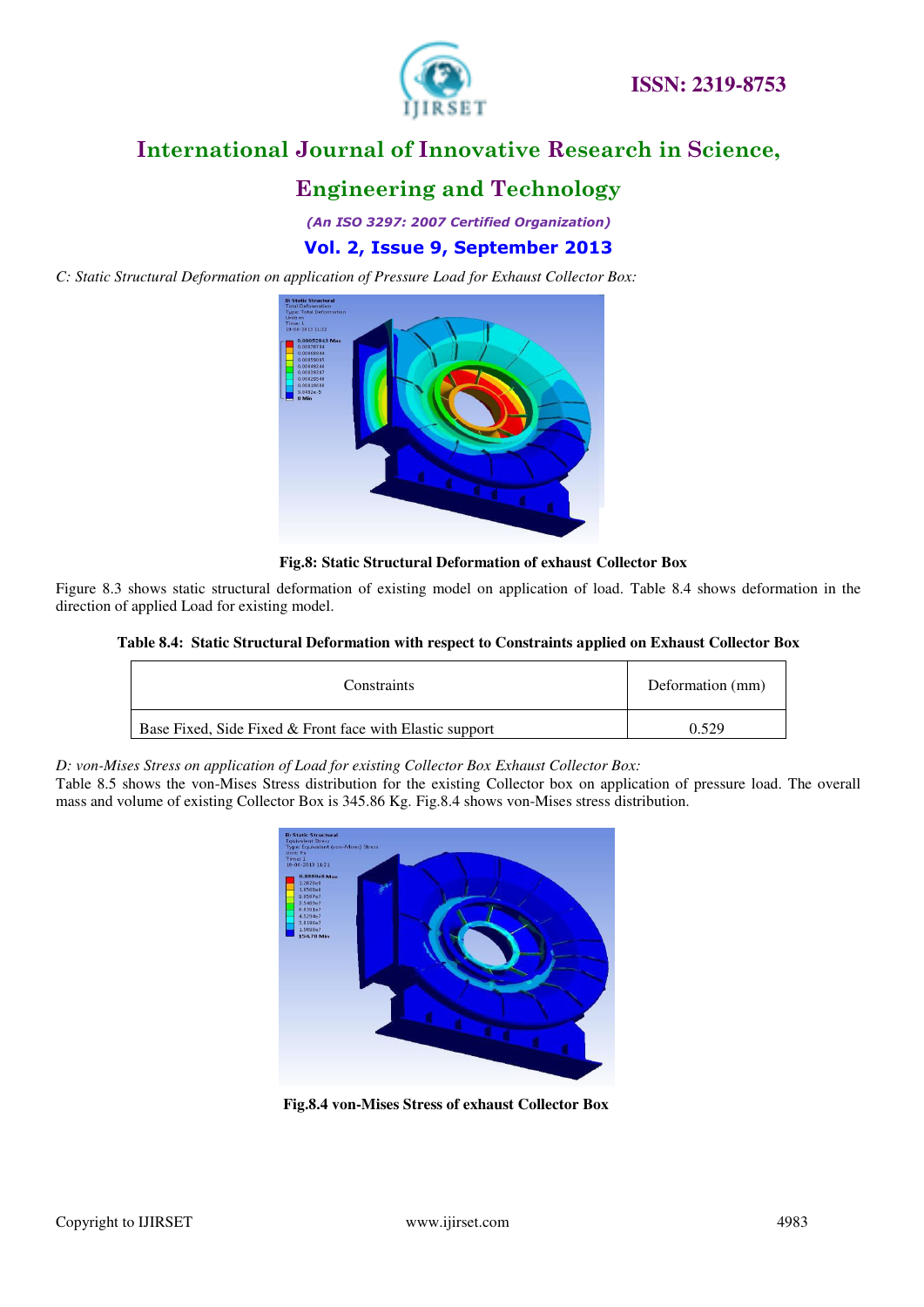

## **Engineering and Technology**

*(An ISO 3297: 2007 Certified Organization)*  **Vol. 2, Issue 9, September 2013**

*C: Static Structural Deformation on application of Pressure Load for Exhaust Collector Box:* 



**Fig.8: Static Structural Deformation of exhaust Collector Box** 

Figure 8.3 shows static structural deformation of existing model on application of load. Table 8.4 shows deformation in the direction of applied Load for existing model.

#### **Table 8.4: Static Structural Deformation with respect to Constraints applied on Exhaust Collector Box**

| Constraints                                              | Deformation (mm) |
|----------------------------------------------------------|------------------|
| Base Fixed, Side Fixed & Front face with Elastic support |                  |

*D: von-Mises Stress on application of Load for existing Collector Box Exhaust Collector Box:* 

Table 8.5 shows the von-Mises Stress distribution for the existing Collector box on application of pressure load. The overall mass and volume of existing Collector Box is 345.86 Kg. Fig.8.4 shows von-Mises stress distribution.



 **Fig.8.4 von-Mises Stress of exhaust Collector Box**